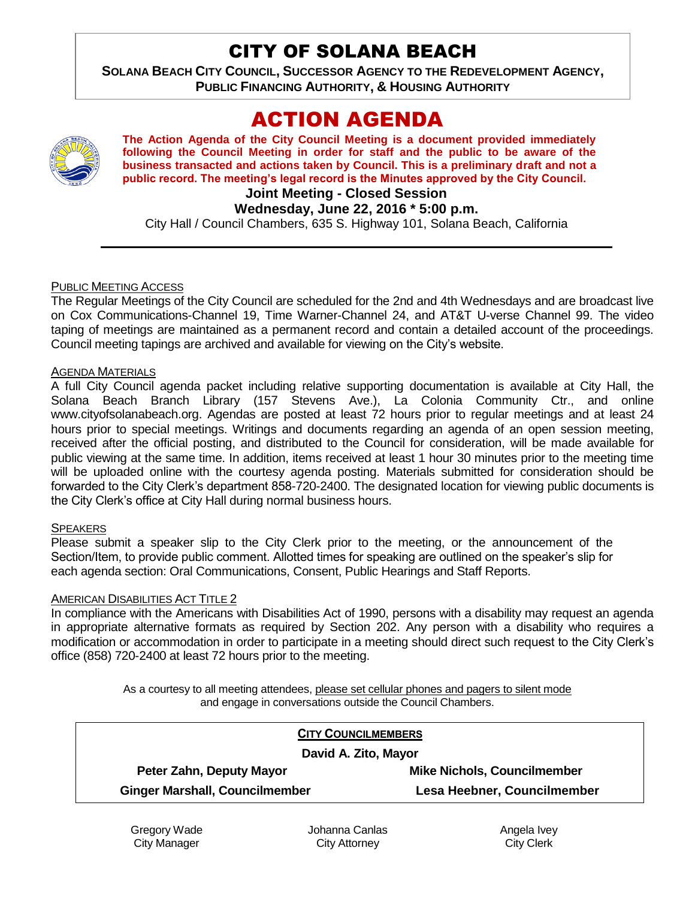# CITY OF SOLANA BEACH

**SOLANA BEACH CITY COUNCIL, SUCCESSOR AGENCY TO THE REDEVELOPMENT AGENCY, PUBLIC FINANCING AUTHORITY, & HOUSING AUTHORITY** 

# ACTION AGENDA

**The Action Agenda of the City Council Meeting is a document provided immediately following the Council Meeting in order for staff and the public to be aware of the business transacted and actions taken by Council. This is a preliminary draft and not a public record. The meeting's legal record is the Minutes approved by the City Council.**

## **Joint Meeting - Closed Session**

**Wednesday, June 22, 2016 \* 5:00 p.m.**

City Hall / Council Chambers, 635 S. Highway 101, Solana Beach, California

#### PUBLIC MEETING ACCESS

The Regular Meetings of the City Council are scheduled for the 2nd and 4th Wednesdays and are broadcast live on Cox Communications-Channel 19, Time Warner-Channel 24, and AT&T U-verse Channel 99. The video taping of meetings are maintained as a permanent record and contain a detailed account of the proceedings. Council meeting tapings are archived and available for viewing on the City's website.

#### **AGENDA MATERIALS**

A full City Council agenda packet including relative supporting documentation is available at City Hall, the Solana Beach Branch Library (157 Stevens Ave.), La Colonia Community Ctr., and online www.cityofsolanabeach.org. Agendas are posted at least 72 hours prior to regular meetings and at least 24 hours prior to special meetings. Writings and documents regarding an agenda of an open session meeting, received after the official posting, and distributed to the Council for consideration, will be made available for public viewing at the same time. In addition, items received at least 1 hour 30 minutes prior to the meeting time will be uploaded online with the courtesy agenda posting. Materials submitted for consideration should be forwarded to the City Clerk's department 858-720-2400. The designated location for viewing public documents is the City Clerk's office at City Hall during normal business hours.

#### **SPEAKERS**

Please submit a speaker slip to the City Clerk prior to the meeting, or the announcement of the Section/Item, to provide public comment. Allotted times for speaking are outlined on the speaker's slip for each agenda section: Oral Communications, Consent, Public Hearings and Staff Reports.

#### AMERICAN DISABILITIES ACT TITLE 2

In compliance with the Americans with Disabilities Act of 1990, persons with a disability may request an agenda in appropriate alternative formats as required by Section 202. Any person with a disability who requires a modification or accommodation in order to participate in a meeting should direct such request to the City Clerk's office (858) 720-2400 at least 72 hours prior to the meeting.

> As a courtesy to all meeting attendees, please set cellular phones and pagers to silent mode and engage in conversations outside the Council Chambers.

| <b>CITY COUNCILMEMBERS</b><br>David A. Zito, Mayor |                                       |                             |
|----------------------------------------------------|---------------------------------------|-----------------------------|
|                                                    |                                       |                             |
|                                                    | <b>Ginger Marshall, Councilmember</b> | Lesa Heebner, Councilmember |

Gregory Wade City Manager

Johanna Canlas City Attorney

Angela Ivey City Clerk